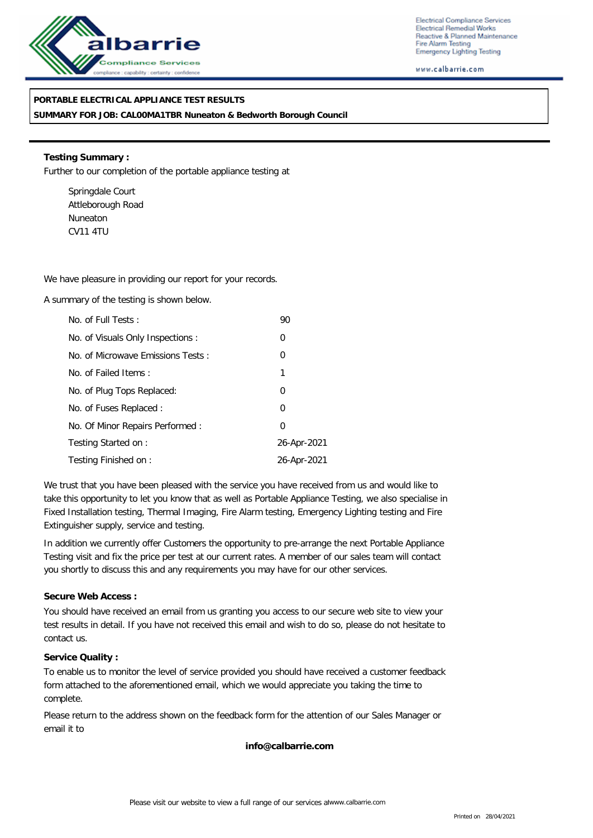

Electrical Compliance Services Electrical Remedial Works Reactive & Planned Maintenance Fire Alarm Testing Emergency Lighting Testing

www.calbarrie.com

## **PORTABLE ELECTRICAL APPLIANCE TEST RESULTS**

**SUMMARY FOR JOB: CAL00MA1TBR Nuneaton & Bedworth Borough Council**

**Testing Summary :** Further to our completion of the portable appliance testing at

Springdale Court Attleborough Road Nuneaton CV11 4TU

We have pleasure in providing our report for your records.

A summary of the testing is shown below.

| No. of Full Tests:                | 90          |
|-----------------------------------|-------------|
| No. of Visuals Only Inspections : | 0           |
| No. of Microwave Emissions Tests: | 0           |
| No. of Failed Items:              | 1           |
| No. of Plug Tops Replaced:        | 0           |
| No. of Fuses Replaced:            | 0           |
| No. Of Minor Repairs Performed:   | $\Omega$    |
| Testing Started on:               | 26-Apr-2021 |
| Testing Finished on:              | 26-Apr-2021 |

We trust that you have been pleased with the service you have received from us and would like to take this opportunity to let you know that as well as Portable Appliance Testing, we also specialise in Fixed Installation testing, Thermal Imaging, Fire Alarm testing, Emergency Lighting testing and Fire Extinguisher supply, service and testing.

In addition we currently offer Customers the opportunity to pre-arrange the next Portable Appliance Testing visit and fix the price per test at our current rates. A member of our sales team will contact you shortly to discuss this and any requirements you may have for our other services.

### **Secure Web Access :**

You should have received an email from us granting you access to our secure web site to view your test results in detail. If you have not received this email and wish to do so, please do not hesitate to contact us.

### **Service Quality :**

To enable us to monitor the level of service provided you should have received a customer feedback form attached to the aforementioned email, which we would appreciate you taking the time to complete.

Please return to the address shown on the feedback form for the attention of our Sales Manager or email it to

**info@calbarrie.com**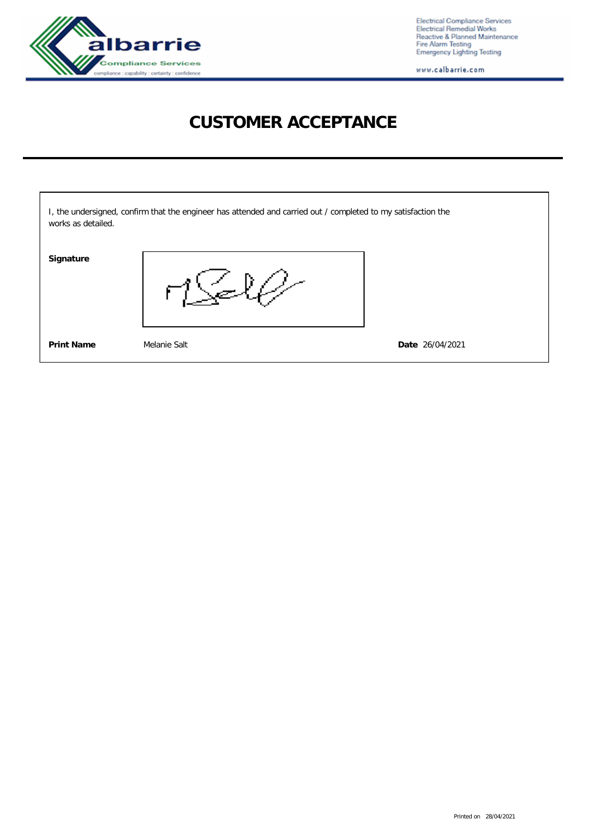

Electrical Compliance Services<br>Electrical Remedial Works<br>Reactive & Planned Maintenance<br>Fire Alarm Testing<br>Emergency Lighting Testing

www.calbarrie.com

# **CUSTOMER ACCEPTANCE**

| works as detailed. | I, the undersigned, confirm that the engineer has attended and carried out / completed to my satisfaction the |                 |
|--------------------|---------------------------------------------------------------------------------------------------------------|-----------------|
| Signature          |                                                                                                               |                 |
| <b>Print Name</b>  | Melanie Salt                                                                                                  | Date 26/04/2021 |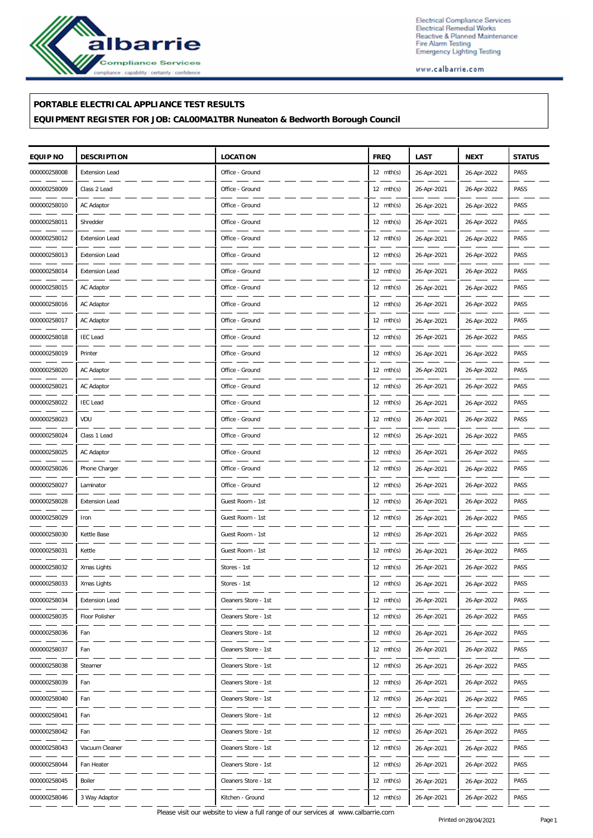

Electrical Compliance Services Electrical Compliance Services<br>Electrical Remedial Works<br>Reactive & Planned Maintenance<br>Fire Alarm Testing<br>Emergency Lighting Testing

www.calbarrie.com

### **PORTABLE ELECTRICAL APPLIANCE TEST RESULTS**

**EQUIPMENT REGISTER FOR JOB: CAL00MA1TBR Nuneaton & Bedworth Borough Council**

| EQUIP NO     | <b>DESCRIPTION</b>    | LOCATION             | <b>FREQ</b>         | LAST        | <b>NEXT</b> | <b>STATUS</b> |
|--------------|-----------------------|----------------------|---------------------|-------------|-------------|---------------|
| 000000258008 | <b>Extension Lead</b> | Office - Ground      | $12 \text{ mth(s)}$ | 26-Apr-2021 | 26-Apr-2022 | PASS          |
| 000000258009 | Class 2 Lead          | Office - Ground      | $12 \text{ mth(s)}$ | 26-Apr-2021 | 26-Apr-2022 | PASS          |
| 000000258010 | AC Adaptor            | Office - Ground      | $12 \text{ mth(s)}$ | 26-Apr-2021 | 26-Apr-2022 | PASS          |
| 000000258011 | Shredder              | Office - Ground      | $12 \text{ mth(s)}$ | 26-Apr-2021 | 26-Apr-2022 | PASS          |
| 000000258012 | <b>Extension Lead</b> | Office - Ground      | $12 \text{ mth(s)}$ | 26-Apr-2021 | 26-Apr-2022 | PASS          |
| 000000258013 | <b>Extension Lead</b> | Office - Ground      | $12 \text{ mth(s)}$ | 26-Apr-2021 | 26-Apr-2022 | PASS          |
| 000000258014 | <b>Extension Lead</b> | Office - Ground      | $12 \text{ mth(s)}$ | 26-Apr-2021 | 26-Apr-2022 | PASS          |
| 000000258015 | AC Adaptor            | Office - Ground      | $12 \text{ mth(s)}$ | 26-Apr-2021 | 26-Apr-2022 | PASS          |
| 000000258016 | AC Adaptor            | Office - Ground      | $12 \text{ mth(s)}$ | 26-Apr-2021 | 26-Apr-2022 | PASS          |
| 000000258017 | AC Adaptor            | Office - Ground      | $12 \text{ mth(s)}$ | 26-Apr-2021 | 26-Apr-2022 | PASS          |
| 000000258018 | <b>IEC Lead</b>       | Office - Ground      | $12 \text{ mth(s)}$ | 26-Apr-2021 | 26-Apr-2022 | PASS          |
| 000000258019 | Printer               | Office - Ground      | $12 \text{ mth(s)}$ | 26-Apr-2021 | 26-Apr-2022 | PASS          |
| 000000258020 | AC Adaptor            | Office - Ground      | $12 \text{ mth(s)}$ | 26-Apr-2021 | 26-Apr-2022 | PASS          |
| 000000258021 | AC Adaptor            | Office - Ground      | $12 \text{ mth(s)}$ | 26-Apr-2021 | 26-Apr-2022 | PASS          |
| 000000258022 | <b>IEC Lead</b>       | Office - Ground      | $12 \text{ mth(s)}$ | 26-Apr-2021 | 26-Apr-2022 | PASS          |
| 000000258023 | VDU                   | Office - Ground      | $12 \text{ mth(s)}$ | 26-Apr-2021 | 26-Apr-2022 | PASS          |
| 000000258024 | Class 1 Lead          | Office - Ground      | $12 \text{ mth(s)}$ | 26-Apr-2021 | 26-Apr-2022 | PASS          |
| 000000258025 | AC Adaptor            | Office - Ground      | $12 \text{ mth(s)}$ | 26-Apr-2021 | 26-Apr-2022 | PASS          |
| 000000258026 | Phone Charger         | Office - Ground      | $12 \text{ mth(s)}$ | 26-Apr-2021 | 26-Apr-2022 | PASS          |
| 000000258027 | Laminator             | Office - Ground      | $12 \text{ mth(s)}$ | 26-Apr-2021 | 26-Apr-2022 | PASS          |
| 000000258028 | <b>Extension Lead</b> | Guest Room - 1st     | $12 \text{ mth(s)}$ | 26-Apr-2021 | 26-Apr-2022 | PASS          |
| 000000258029 | Iron                  | Guest Room - 1st     | $12 \text{ mth(s)}$ | 26-Apr-2021 | 26-Apr-2022 | PASS          |
| 000000258030 | Kettle Base           | Guest Room - 1st     | $12 \text{ mth(s)}$ | 26-Apr-2021 | 26-Apr-2022 | PASS          |
| 000000258031 | Kettle                | Guest Room - 1st     | $12 \text{ mth(s)}$ | 26-Apr-2021 | 26-Apr-2022 | PASS          |
| 000000258032 | Xmas Lights           | Stores - 1st         | $12 \text{ mth(s)}$ | 26-Apr-2021 | 26-Apr-2022 | PASS          |
| 000000258033 | Xmas Lights           | Stores - 1st         | $12 \text{ mth(s)}$ | 26-Apr-2021 | 26-Apr-2022 | PASS          |
| 000000258034 | <b>Extension Lead</b> | Cleaners Store - 1st | $12 \text{ mth(s)}$ | 26-Apr-2021 | 26-Apr-2022 | PASS          |
| 000000258035 | Floor Polisher        | Cleaners Store - 1st | $12 \text{ mth(s)}$ | 26-Apr-2021 | 26-Apr-2022 | PASS          |
| 000000258036 | Fan                   | Cleaners Store - 1st | $12 \text{ mth(s)}$ | 26-Apr-2021 | 26-Apr-2022 | PASS          |
| 000000258037 | Fan                   | Cleaners Store - 1st | $12 \text{ mth(s)}$ | 26-Apr-2021 | 26-Apr-2022 | PASS          |
| 000000258038 | Steamer               | Cleaners Store - 1st | $12 \text{ mth(s)}$ | 26-Apr-2021 | 26-Apr-2022 | PASS          |
| 000000258039 | Fan                   | Cleaners Store - 1st | $12 \text{ mth(s)}$ | 26-Apr-2021 | 26-Apr-2022 | PASS          |
| 000000258040 | Fan                   | Cleaners Store - 1st | $12 \text{ mth(s)}$ | 26-Apr-2021 | 26-Apr-2022 | PASS          |
| 000000258041 | Fan                   | Cleaners Store - 1st | $12 \text{ mth(s)}$ | 26-Apr-2021 | 26-Apr-2022 | PASS          |
| 000000258042 | Fan                   | Cleaners Store - 1st | $12 \text{ mth(s)}$ | 26-Apr-2021 | 26-Apr-2022 | PASS          |
| 000000258043 | Vacuum Cleaner        | Cleaners Store - 1st | $12 \text{ mth(s)}$ | 26-Apr-2021 | 26-Apr-2022 | PASS          |
| 000000258044 | Fan Heater            | Cleaners Store - 1st | $12 \text{ mth(s)}$ | 26-Apr-2021 | 26-Apr-2022 | PASS          |
| 000000258045 | Boiler                | Cleaners Store - 1st | $12 \text{ mth(s)}$ | 26-Apr-2021 | 26-Apr-2022 | PASS          |
| 000000258046 | 3 Way Adaptor         | Kitchen - Ground     | $12 \text{ mth(s)}$ | 26-Apr-2021 | 26-Apr-2022 | PASS          |

Please visit our website to view a full range of our services at www.calbarrie.com Printed on 28/04/2021 Page 1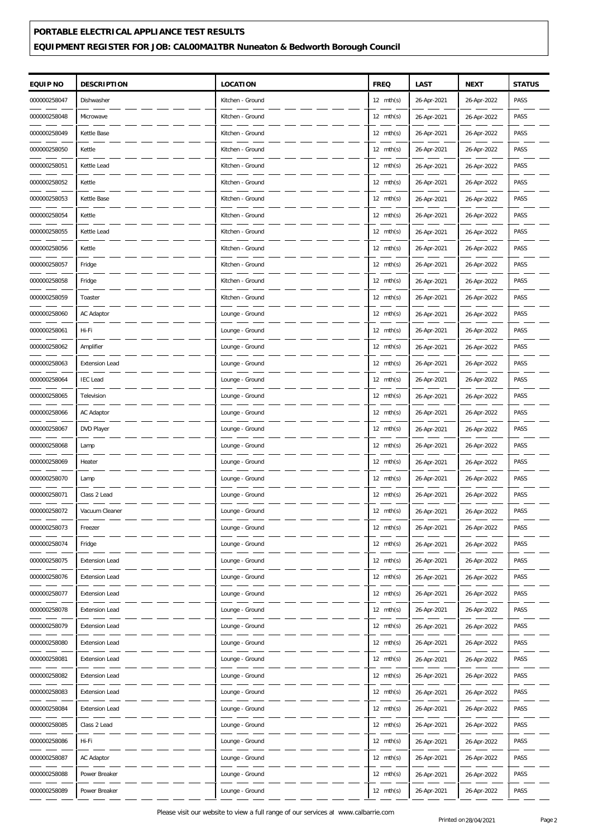# **PORTABLE ELECTRICAL APPLIANCE TEST RESULTS EQUIPMENT REGISTER FOR JOB: CAL00MA1TBR Nuneaton & Bedworth Borough Council**

| EQUIP NO     | <b>DESCRIPTION</b>    | <b>LOCATION</b>  | <b>FREQ</b>         | LAST        | <b>NEXT</b> | <b>STATUS</b> |
|--------------|-----------------------|------------------|---------------------|-------------|-------------|---------------|
| 000000258047 | Dishwasher            | Kitchen - Ground | $12 \text{ mth(s)}$ | 26-Apr-2021 | 26-Apr-2022 | PASS          |
| 000000258048 | Microwave             | Kitchen - Ground | $12 \text{ mth(s)}$ | 26-Apr-2021 | 26-Apr-2022 | PASS          |
| 000000258049 | Kettle Base           | Kitchen - Ground | $12 \text{ mth(s)}$ | 26-Apr-2021 | 26-Apr-2022 | PASS          |
| 000000258050 | Kettle                | Kitchen - Ground | $12 \text{ mth(s)}$ | 26-Apr-2021 | 26-Apr-2022 | PASS          |
| 000000258051 | Kettle Lead           | Kitchen - Ground | $12 \text{ mth(s)}$ | 26-Apr-2021 | 26-Apr-2022 | PASS          |
| 000000258052 | Kettle                | Kitchen - Ground | $12 \text{ mth(s)}$ | 26-Apr-2021 | 26-Apr-2022 | PASS          |
| 000000258053 | Kettle Base           | Kitchen - Ground | $12 \text{ mth(s)}$ | 26-Apr-2021 | 26-Apr-2022 | PASS          |
| 000000258054 | Kettle                | Kitchen - Ground | $12 \text{ mth(s)}$ | 26-Apr-2021 | 26-Apr-2022 | PASS          |
| 000000258055 | Kettle Lead           | Kitchen - Ground | $12 \text{ mth(s)}$ | 26-Apr-2021 | 26-Apr-2022 | PASS          |
| 000000258056 | Kettle                | Kitchen - Ground | $12 \text{ mth(s)}$ | 26-Apr-2021 | 26-Apr-2022 | PASS          |
| 000000258057 | Fridge                | Kitchen - Ground | $12 \text{ mth(s)}$ | 26-Apr-2021 | 26-Apr-2022 | PASS          |
| 000000258058 | Fridge                | Kitchen - Ground | $12 \text{ mth(s)}$ | 26-Apr-2021 | 26-Apr-2022 | PASS          |
| 000000258059 | Toaster               | Kitchen - Ground | $12 \text{ mth(s)}$ | 26-Apr-2021 | 26-Apr-2022 | PASS          |
| 000000258060 | AC Adaptor            | Lounge - Ground  | $12 \text{ mth(s)}$ | 26-Apr-2021 | 26-Apr-2022 | PASS          |
| 000000258061 | Hi-Fi                 | Lounge - Ground  | $12 \text{ mth(s)}$ | 26-Apr-2021 | 26-Apr-2022 | PASS          |
| 000000258062 | Amplifier             | Lounge - Ground  | $12 \text{ mth(s)}$ | 26-Apr-2021 | 26-Apr-2022 | PASS          |
| 000000258063 | <b>Extension Lead</b> | Lounge - Ground  | $12 \text{ mth(s)}$ | 26-Apr-2021 | 26-Apr-2022 | PASS          |
| 000000258064 | <b>IEC</b> Lead       | Lounge - Ground  | $12 \text{ mth(s)}$ | 26-Apr-2021 | 26-Apr-2022 | PASS          |
| 000000258065 | Television            | Lounge - Ground  | $12 \text{ mth(s)}$ | 26-Apr-2021 | 26-Apr-2022 | PASS          |
| 000000258066 | AC Adaptor            | Lounge - Ground  | $12 \text{ mth(s)}$ | 26-Apr-2021 | 26-Apr-2022 | PASS          |
| 000000258067 | DVD Player            | Lounge - Ground  | $12 \text{ mth(s)}$ | 26-Apr-2021 | 26-Apr-2022 | PASS          |
| 000000258068 | Lamp                  | Lounge - Ground  | $12 \text{ mth(s)}$ | 26-Apr-2021 | 26-Apr-2022 | PASS          |
| 000000258069 | Heater                | Lounge - Ground  | $12 \text{ mth(s)}$ | 26-Apr-2021 | 26-Apr-2022 | PASS          |
| 000000258070 | Lamp                  | Lounge - Ground  | $12 \text{ mth(s)}$ | 26-Apr-2021 | 26-Apr-2022 | PASS          |
| 000000258071 | Class 2 Lead          | Lounge - Ground  | $12 \text{ mth(s)}$ | 26-Apr-2021 | 26-Apr-2022 | PASS          |
| 000000258072 | Vacuum Cleaner        | Lounge - Ground  | $12 \text{ mth(s)}$ | 26-Apr-2021 | 26-Apr-2022 | PASS          |
| 000000258073 | Freezer               | Lounge - Ground  | $12 \text{ mth(s)}$ | 26-Apr-2021 | 26-Apr-2022 | PASS          |
| 000000258074 | Fridge                | Lounge - Ground  | $12 \text{ mth(s)}$ | 26-Apr-2021 | 26-Apr-2022 | PASS          |
| 000000258075 | Extension Lead        | Lounge - Ground  | $12 \text{ mth(s)}$ | 26-Apr-2021 | 26-Apr-2022 | PASS          |
| 000000258076 | <b>Extension Lead</b> | Lounge - Ground  | 12 $mth(s)$         | 26-Apr-2021 | 26-Apr-2022 | PASS          |
| 000000258077 | <b>Extension Lead</b> | Lounge - Ground  | 12 $mth(s)$         | 26-Apr-2021 | 26-Apr-2022 | PASS          |
| 000000258078 | Extension Lead        | Lounge - Ground  | $12 \text{ mth(s)}$ | 26-Apr-2021 | 26-Apr-2022 | PASS          |
| 000000258079 | <b>Extension Lead</b> | Lounge - Ground  | $12 \text{ mth(s)}$ | 26-Apr-2021 | 26-Apr-2022 | PASS          |
| 000000258080 | <b>Extension Lead</b> | Lounge - Ground  | 12 $mth(s)$         | 26-Apr-2021 | 26-Apr-2022 | PASS          |
| 000000258081 | Extension Lead        | Lounge - Ground  | 12 $mth(s)$         | 26-Apr-2021 | 26-Apr-2022 | PASS          |
| 000000258082 | <b>Extension Lead</b> | Lounge - Ground  | $12 \text{ mth(s)}$ | 26-Apr-2021 | 26-Apr-2022 | PASS          |
| 000000258083 | <b>Extension Lead</b> | Lounge - Ground  | $12 \text{ mth(s)}$ | 26-Apr-2021 | 26-Apr-2022 | PASS          |
| 000000258084 | Extension Lead        | Lounge - Ground  | 12 $mth(s)$         | 26-Apr-2021 | 26-Apr-2022 | PASS          |
| 000000258085 | Class 2 Lead          | Lounge - Ground  | $12 \text{ mth(s)}$ | 26-Apr-2021 | 26-Apr-2022 | PASS          |
| 000000258086 | Hi-Fi                 | Lounge - Ground  | $12 \text{ mth(s)}$ | 26-Apr-2021 | 26-Apr-2022 | PASS          |
| 000000258087 | AC Adaptor            | Lounge - Ground  | $12 \text{ mth(s)}$ | 26-Apr-2021 | 26-Apr-2022 | PASS          |
| 000000258088 | Power Breaker         | Lounge - Ground  | 12 mth(s)           | 26-Apr-2021 | 26-Apr-2022 | PASS          |
| 000000258089 | Power Breaker         | Lounge - Ground  | 12 $mth(s)$         | 26-Apr-2021 | 26-Apr-2022 | PASS          |
|              |                       |                  |                     |             |             |               |

Please visit our website to view a full range of our services at www.calbarrie.com<br>
Printed on 28/04/2021